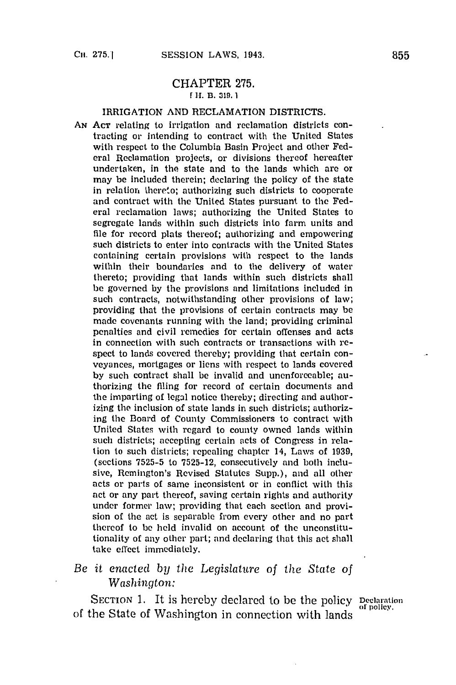## CHAPTER **275. [ If. B. a19. 1**

## IRRIGATION **AND RECLAMATION** DISTRICTS.

**AN ACT** relating to irrigation and reclamation districts contracting or intending to contract with the United States with respect to the Columbia Basin Project and other Federal Reclamation projects, or divisions thereof hereafter undertaken, in the state and to the lands which are or may be included therein; declaring the policy of the state in relation thereto; authorizing such districts to cooperate and contract with the United States pursuant to the Federal reclamation laws; authorizing the United States to segregate lands within such districts into farm units and file for record plats thereof; authorizing and empowering such districts to enter into contracts with the United States containing certain provisions with respect to the lands within their boundaries and to the delivery of water thereto; providing that lands within such districts shall **be** governed **by** the provisions and limitations included in such contracts, notwithstanding other provisions of law; providing that the provisions of certain contracts may be made covenants running with the land; providing criminal penalties and civil remedies for certain offenses and acts in connection with such contracts or transactions with respect to lands covered thereby; providing that certain conveyances, mortgages or liens with respect to lands covered **by** such contract shall be invalid and unenforceable; authorizing the filing for record of certain documents and the imparting of legal notice thereby; directing and authorizing the inclusion of state lands in such districts; authorizing the Board of County Commissioners to contract with United States with regard to county owned lands within such districts; accepting certain acts of Congress in relation to such districts; repealing chapter 14, Laws of **1939,** (sections **7525-5** to **7525-12,** consecutively and both inclusive, Remington's Revised Statutes Supp.), and all other acts or parts of same inconsistent or in conflict with this act or any part thereof, saving certain rights and authority under former law; providing that each section and provision of the act is separable from every other and no part thereof to **be** held invalid on account of the unconstitutionality of any other part; and declaring that this act shall take effect immediately.

## *Be it enacted by* the *Legislature* of *the State of Washington:*

SECTION 1. It is hereby declared to be the policy Declaration of the State of Washington in connection with lands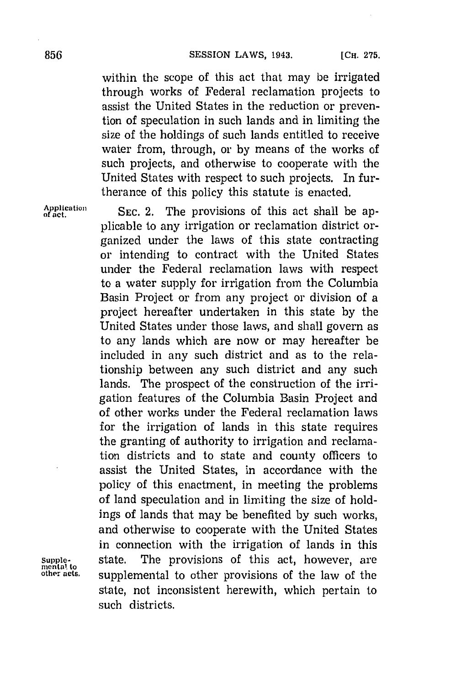within the scope of this act that may be irrigated through works of Federal reclamation projects to assist the United States in the reduction or prevention of speculation in such lands and in limiting the size of the holdings of such lands entitled to receive water from, through, or **by** means of the works of such projects, and otherwise to cooperate with the United States with respect to such projects. In furtherance of this policy this statute is enacted.

Application **SEC. 2.** The provisions of this act shall be applicable to any irrigation or reclamation district organized under the laws of this state contracting or intending to contract with the United States under the Federal reclamation laws with respect to a water supply for irrigation from the Columbia Basin Project or from any project or division of a project hereafter undertaken in this state **by** the United States under those laws, and shall govern as to any lands which are now or may hereafter be included in any such district and as to the relationship between any such district and any such lands. The prospect of the construction of the irrigation features of the Columbia Basin Project and of other works under the Federal reclamation laws for the irrigation of lands in this state requires the granting of authority to irrigation and reclamation districts and to state and county officers to assist the United States, in accordance with the policy of this enactment, in meeting the problems of land speculation and in limiting the size of holdings of lands that may be benefited **by** such works, and otherwise to cooperate with the United States in connection with the irrigation of lands in this **Supple-** state. The provisions of this act, however, are **other acts.** supplemental to other provisions of the law of the state, not inconsistent herewith, which pertain to such districts.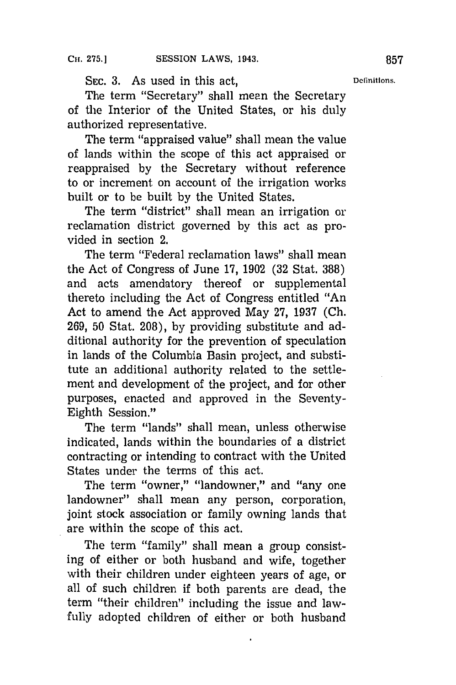SEC. 3. As used in this act, **Definitions.** 

The term "Secretary" shall mean the Secretary of the Interior of the United States, or his duly authorized representative.

The term "appraised value" shall mean the value of lands within the scope of this act appraised or reappraised **by** the Secretary without reference to or increment on account of the irrigation works built or to be built **by** the United States.

The term "district" shall mean an irrigation or reclamation district governed **by** this act as provided in section 2.

The term "Federal reclamation laws" shall mean the Act of Congress of June **17, 1902 (32** Stat. **388)** and acts amendatory thereof or supplemental thereto including the Act of Congress entitled "An Act to amend the Act approved May **27, 1937 (Ch. 269, 50** Stat. **208), by** providing substitute and additional authority for the prevention of speculation in lands of the Columbia Basin project, and substitute an additional authority related to the settlement and development of the project, and for other purposes, enacted and approved in the Seventy-Eighth Session."

The term "lands" shall mean, unless otherwise indicated, lands within the boundaries of a district contracting or intending to contract with the United States under the terms of this act.

The term "owner," "landowner," and "any one landowner" shall mean any person, corporation, joint stock association or family owning lands that are within the scope of this act.

The term "family" shall mean a group consisting of either or both husband and wife, together with their children under eighteen years of age, or all of such children if both parents are dead, the term "their children" including the issue and lawfully adopted children of either or both husband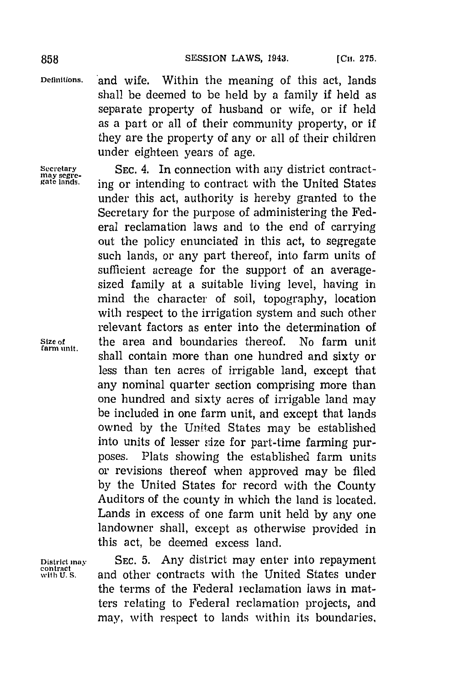Definitions. and wife. Within the meaning of this act, lands shall be deemed to be held **by** a family if held as separate property of husband or wife, or if held as a part or all of their community property, or if they are the property of any or all of their children under eighteen years of age.

Secretary SEC. 4. In connection with any district contract-<br>gate langs secret in construct to contract with the United States ing or intending to contract with the United States under this act, authority is hereby granted to the Secretary for the purpose of administering the Federal reclamation laws and to the end of carrying out the policy enunciated in this act, to segregate such lands, or any part thereof, into farm units of sufficient acreage for the support of an averagesized family at a suitable living level, having in mind the character of soil, topography, location with respect to the irrigation system and such other relevant factors as enter into the determination of Size of the area and boundaries thereof. No farm unit shall contain more than one hundred and sixty or less than ten acres of irrigable land, except that any nominal quarter section comprising more than one hundred and sixty acres of irrigable land may be included in one farm unit, and except that lands owned **by** the United States may be established into units of lesser size for part-time farming purposes. Plats showing the established farm units or revisions thereof when approved may be filed **by** the United States for record with the County Auditors of the county in which the land is located. Lands in excess of one farm unit held **by** any one landowner shall, except as otherwise provided in this act, be deemed excess land.

District may **SEC. 5.** Any district may enter into repayment contract  $\sum_{\text{with } U.S.}$  and other contracts with the United States under the terms of the Federal reclamation laws in matters relating to Federal reclamation projects, and may, with respect to lands within its boundaries,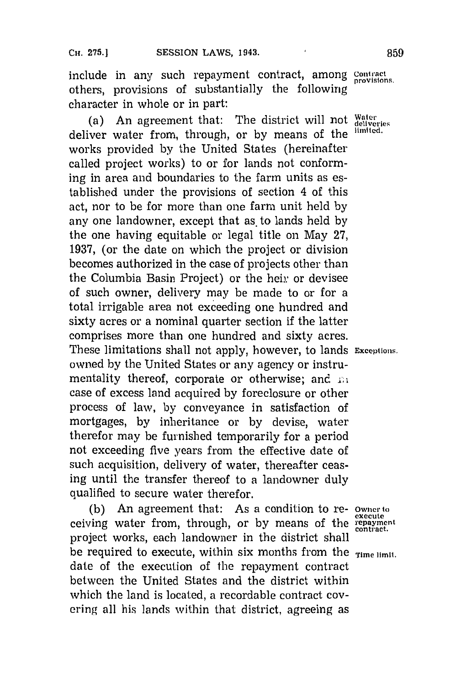include in any such repayment contract, among **contract** others, provisions of substantially the following character in whole or in part:

(a) An agreement that: The district will not **Water** deliver water from, through, or **by** means of the **limited.** works provided **by** the United States (hereinafter called project works) to or for lands not conforming in area and boundaries to the farm units as established under the provisions of section 4 of this act, nor to be for more than one farm unit held **by** any one landowner, except that as to lands held by the one having equitable or legal title on May **27, 1937,** (or the date on which the project or division becomes authorized in the case of projects other than the Columbia Basin Project) or the heir or devisee of such owner, delivery may be made to or for a total irrigable area not exceeding one hundred and sixty acres or a nominal quarter section if the latter comprises more than one hundred and sixty acres. These limitations shall not apply, however, to lands **Exceptions.** owned **by** the United States or any agency or instrumentality thereof, corporate or otherwise; and **.i** case of excess land acquired **by** foreclosure or other process of law, **by** conveyance in satisfaction of mortgages, **by** inheritance or **by** devise, water therefor may be furnished temporarily for a period not exceeding five years from the effective date of such acquisition, delivery of water, thereafter ceasing until the transfer thereof to a landowner duly qualified to secure water therefor.

**(b)** An agreement that: As a condition to re- **owner to** ceiving water from, through, or by means of the **repayment contract.** project works, each landowner in the district shall be required to execute, within six months from the **Time** limit. date of the execution of the repayment contract between the United States and the district within which the land is located, a recordable contract covering all his lands within that district, agreeing as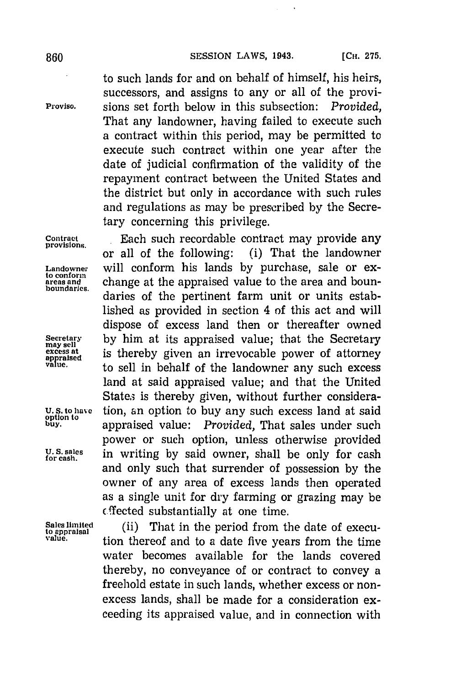to such lands for and on behalf of himself, his heirs, successors, and assigns to any or all of the provi-**Proviso.** sions set forth below in this subsection: *Provided,* That any landowner, having failed to execute such a contract within this period, may be permitted to execute such contract within one year after the date of judicial confirmation of the validity of the repayment contract between the United States and the district but only in accordance with such rules and regulations as may be prescribed **by** the Secretary concerning this privilege.

**Contract ...** Each such recordable contract may provide any provisions. or all of the following: (i) That the landowner **Landowner** will conform his lands **by** purchase, sale or ex**the conformal conformal conformal conformal conformal conformal conformal conformal conformal conformal confor**<br>boundaries. daries of the pertinent farm unit or units established as provided in section 4 of this act and will dispose of excess land then or thereafter owned Secretary by him at its appraised value; that the Secretary may sell<br>excess at is thereby given an irrevocable nower of attorney **excess at is thereby given an irrevocable power of attorney**<br>value, **to sell in behalf of the landowner any such excess** land at said appraised value; and that the United States is thereby given, without further considera-U.S. to have tion, an option to buy any such excess land at said **buy.** appraised value: *Provided,* That sales under such power or such option, unless otherwise provided U. S. sales in writing by said owner, shall be only for cash and only such that surrender of possession **by** the owner of any area of excess lands then operated as a single unit for dry farming or grazing may be  $f$  ffected substantially at one time.

**Sales limited** (ii) That in the peidfrom the date of execu- **to appraisal** pro **value.** tion thereof and to a date five years from the time water becomes available for the lands covered thereby, no conveyance of or contract to convey a freehold estate in such lands, whether excess or nonexcess lands, shall be made for a consideration exceeding its appraised value, and in connection with

**option to**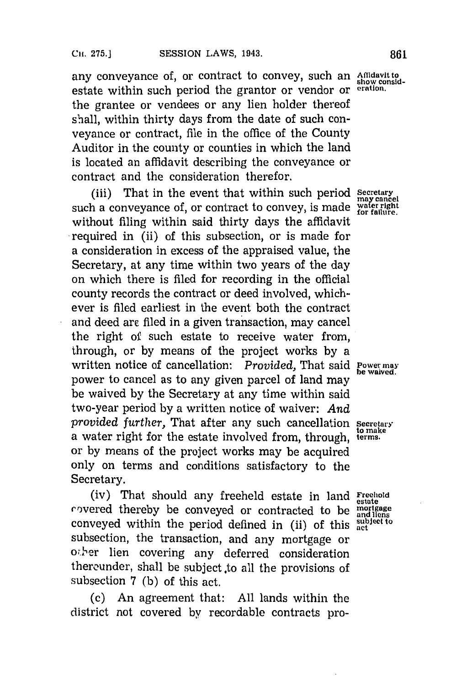any conveyance of, or contract to convey, such an Affidavit to show considestate within such period the grantor or vendor or **eration**. the grantee or vendees or any lien holder thereof shall, within thirty days from the date of such conveyance or contract, file in the office of the County Auditor in the county or counties in which the land is located an affidavit describing the conveyance or contract and the consideration therefor.

(iii) That in the event that within such period **Secretary** such a conveyance of, or contract to convey, is made water right without filing within said thirty days the affidavit required in (ii) of this subsection, or is made for a consideration in excess of the appraised value, the Secretary, at any time within two years of the day on which there is filed for recording in the official county records the contract or deed involved, whichever is filed earliest in the event both the contract and deed arc- filed in a given transaction, may cancel the right of such estate to receive water from, through, or **by** means of the project works **by** a written notice of cancellation: *Provided*, That said **Power may** be waived. power to cancel as to any given parcel of land may be waived **by** the Secretary at any time within said two-year period **by** a written notice of waiver: *And provided further, That after any such cancellation secretary* a water right for the estate involved from, through, **terms.** or **by** means of the project works may be acquired only on terms and conditions satisfactory to the Secretary.

(iv) That should any freeheld estate in land Freehold rovered thereby be conveyed or contracted to be  $\frac{\text{mortrage}}{\text{and items}}$ conveyed within the period defined in (ii) of this subject to subsection, the transaction, and any mortgage or **0;** 'er lien covering any deferred consideration thereunder, shall be subject to all the provisions of subsection **7 (b)** of this act.

(c) An agreement that: **All** lands within the district not covered **by** recordable contracts pro-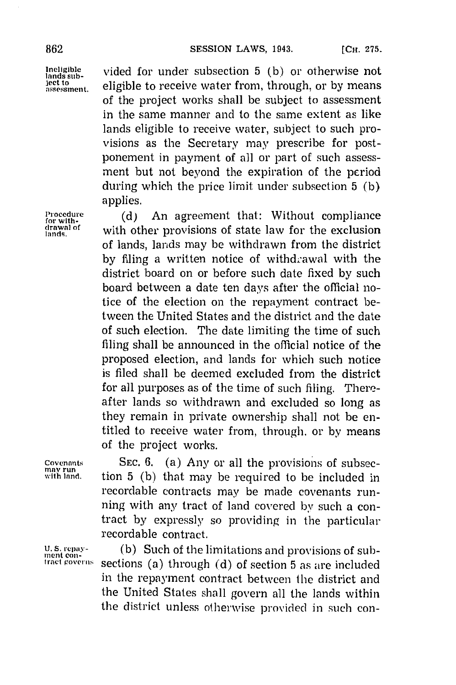lands sub-<br>lands sub-<br> $\frac{1}{2}$  vided for under subsection 5 (b) or otherwise not Jectt **0** eligible to receive water from, through, or **by** means of the project works shall be subject to assessment in the same manner and to the same extent as like lands eligible to receive water, subject to such provisions as the Secretary may prescribe for postponement in payment of all or part of such assessment but not beyond the expiration of the pcriod during which the price limit under subsection **5 (b)** applies.

Procedure (d) An agreement that: Without compliance<br>for with the thou provisions of state law for the exclusion with other provisions of state law for the exclusion of lands, lands may be withdrawn from the district by filing a written notice of withdrawal with the district board on or before such date fixed **by** such board between a date ten days after the official notice of the election on the repayment contract between the United States and the district and the date of such election. The date limiting the time of such filing shall be announced in the official notice of the proposed election, and lands for which such notice is filed shall be decmed excluded from the district for all purposes as of the time of such filing. Thereafter lands so withdrawn and excluded so long as they remain in private ownership shall not be entitled to receive water from, through, or **by** means of the project works.

**Covenants** SEC. 6. (a) Any or all the provisions of subsections of subsection of subsection of  $\sum_{n=1}^{\infty}$  (b) that may be required to be included in tion 5 (b) that may be required to be included in recordable contracts may be made covenants running with any) tract of land covered **by** such a contract by expressly so providing in the particular recordable contract.

U. S. repay- (b) Such of the limitations and provisions of sub**tract poverns** sections (a) through **(d)** of section **5** as are included in the repayment contract between the district and the United States shall govern all the lands within the district unless otherwise provided in such con-

lands.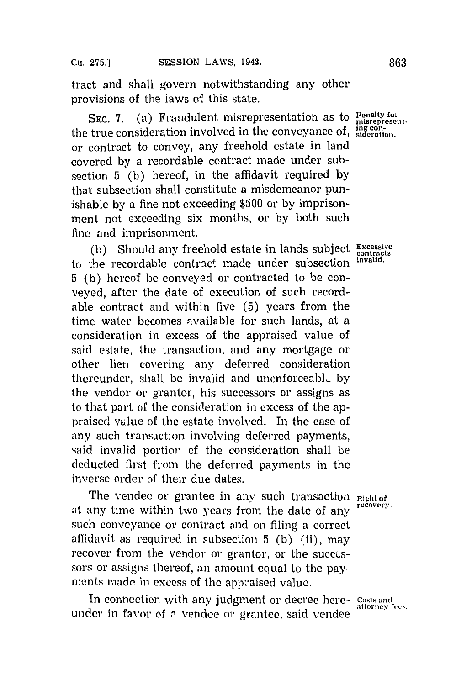tract and shall govern notwithstanding any other provisions of the laws of this state.

SEC. 7. (a) Fraudulent misrepresentation as to Penalty for the true consideration involved in the conveyance of, **sideration**. or contract to convey, any freehold estate in land covered **by** a recordable contract made under subsection **5 (b)** hereof, in the affidavit required **by** that subsection shall constitute a misdemeanor punishable **by** a fine not exceeding **\$500** or **by** imprisonment not exceeding six months, or **by** both such fine and imprisonment.

(b) Should any freehold estate in lands subject Excessive to the recordable contract made under subsection **invald. 5 (b)** hereof be conveyed or contracted to be conveyed, after the date of execution of such recordable contract and within five **(5)** years from the time water becomes available for such lands, at a consideration in excess of the appraised value of said estate, the transaction, and any mortgage or other lien covering any deferred consideration thereunder, shall be invalid and unenforceabi.\_ **by** the vendor or' grantor, his successors or assigns as to that part of the consideration in excess of the appraised] value of the estate involved. In the case of any such transaction involving deferred payments, said invalid portion of the consideration shall be deducted first from the deferred payments in the inverse order of their due dates.

The vendee or grantee in any such transaction **Right of**<br>recovery. at any time within two years from the date of any such conveyance or contract and on filing a correct affidavit as required in subsection **5 (b)** (ii), may recover from the vendor or grantor, or the successors or assigns thereof, an amount equal to the payments made in excess of the appraised value.

In connection with any judgment or decree here-costs and attorney fees. under in favor of a vendee or grantee, said vendee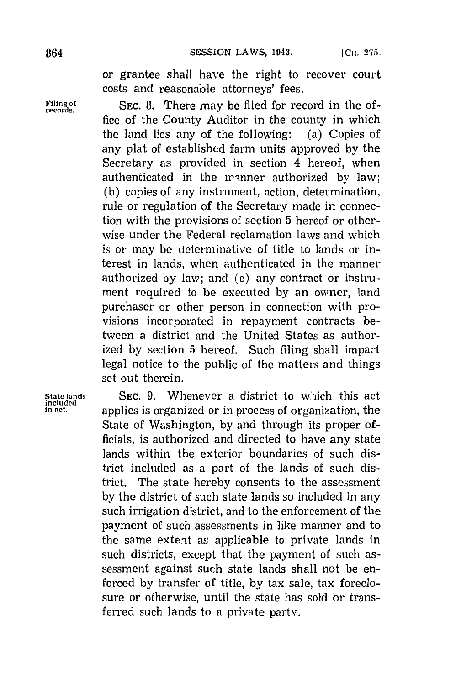or grantee shall have the right to recover court costs and reasonable attorneys' fees.

Filing of **SEC. 8.** There may be filed for record in the office of the County Auditor in the county in which the land lies any of the following: (a) Copies of any plat of established farm units approved **by** the Secretary as provided in section 4 hereof, when authenticated in the nvrnner authorized **by** law; **(b)** copies of any instrument, action, determination, rule or regulation of the Secretary made in connection with the provisions of section **5** hereof or otherwise under the Federal reclamation laws and which is or may be determinative of title to lands or interest in lands, when authenticated in the manner authorized **by** law; and (c) any contract or instrument required to be executed **by** an owner, land purchaser or other person in connection with provisions incorporated in repayment contracts between a district and the United States as authorized **by** section **5** hereof. Such filing shall impart legal notice to the public of the matters and things set out therein.

**State lands**<br>included<br>in net.

SEC. 9. Whenever a district to which this act applies is organized or in process of organization, the State of Washington, **by** and through its proper officials, is authorized and directed to have any state lands within the exterior boundaries of such district included as a part of the lands of such district. The state hereby consents to the assessment **by** the district of such state lands so included in any such irrigation district, and to the enforcement of the payment of such assessments in like manner and to the same extent as applicable to private lands in such districts, except that the payment of such assessment against such state lands shall not be enforced **by** transfer of title, **by** tax sale, tax foreclosure or otherwise, until the state has sold or transferred such lands to a private party.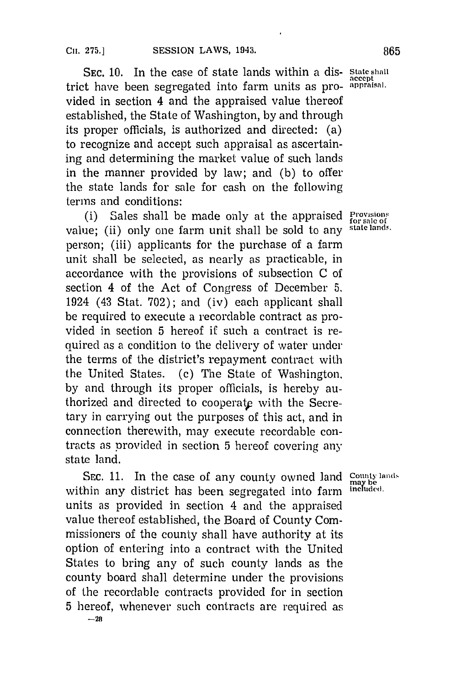SEC. 10. In the case of state lands within a dis- state shall trict have been segregated into farm units as pro- **appraisal.** vided in section 4 and the appraised value thereof established, the State of Washington, **by** and through its proper officials, is authorized and directed: (a) to recognize and accept such appraisal as ascertaining and determining the market value of such lands in the manner provided **by** law; and **(b)** to offer the state lands for sale for cash on the following terms and conditions:

(i) Sales shall be made only at the appraised  $P_{\text{for sale of}}$ <br>(ii) only one farm unit shall be sold to any state lands. value: (ii) only one farm unit shall be sold to any person; (iii) applicants for the purchase of a farm unit shall be selected, as nearly as practicable, in accordance with the provisions of subsection **C** of section 4 of the Act of Congress of December **5,** 1924 (43 Stat. **702);** and (iv) each applicant shall be required to execute a recordable contract as provided in section **5** hereof if such a contract is required as a condition to the delivery of water under the terms of the district's repayment contract with the United States. **(c)** The State of Washington. **by** and through its proper officials, is hereby authorized and directed to cooperate with the Secretary in carrying out the purposes of this act, and in connection therewith, may execute recordable contracts as provided in section 5 hereof covering any state land.

SEC. 11. In the case of any county owned land **County lands**<br>him any district has been sequented into form included. within any district has been segregated into farm units as provided in section 4 and the appraised value thereof established, the Board of County Commissioners of the county shall have authority at its option of entering into a contract with the United States to bring any of such county lands as the county board shall determine under the provisions of the recordable contracts provided for in section **5** hereof, whenever such contracts are required as

**-28**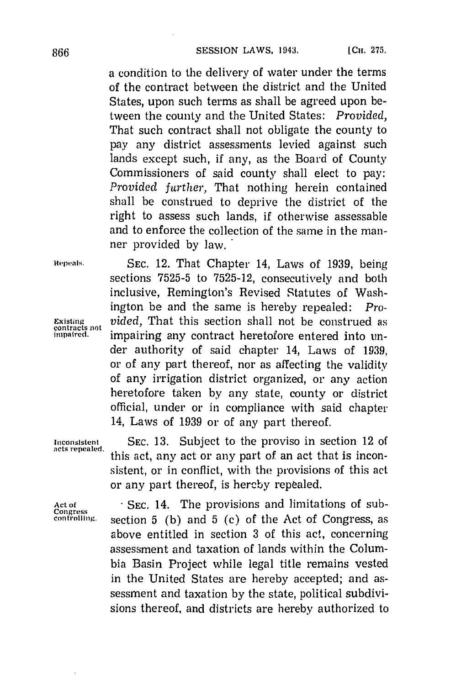a condition to the delivery of water under the terms of the contract between the district and the United States, upon such terms as shall be agreed upon between the county and the United States: *Provided,* That such contract shall not obligate the county to pay any district assessments levied against such lands except such, if any, as the Board of County Commissioners of said county shall elect to pay: Provided further, That nothing herein contained shall be construed to deprive the district of the right to assess such lands, if otherwise assessable and to enforce the collection of the same in the manner provided **by** law.

**Repeali'. SEC.** 12. That Chapter 14, Laws of **1939,** being sections **7525-5** to **7525-12,** consecutively and both inclusive, Remington's Revised Statutes of Washington be and the same is hereby repealed: *Pro-***Existing** *vided,* That this section shall not be construed as **contracts not impa ired.** impairing any contract heretofore entered into under authority of said chapter 14, Laws of **1939,** or of any part thereof, nor as affecting the validity of any irrigation district organized, or any action heretofore taken **by** any state, county or district official, under or in compliance with said chapter 14, Laws of **1939** or of any part thereof.

**Inconsistent SEC. 13.** Subject to the proviso in section 12 of this act, any act or any part of an act that is inconsistent, or in conflict, with the provisions of this act or any part thereof, is hereby repealed.

Act of SEC. 14. The provisions and limitations of sub-**Congress controlling.** section **5 (b)** and **5 (c)** of the Act of Congress, as above entitled in section **3** of this act, concerning assessment and taxation of lands within the Columbia Basin Project while legal title remains vested in the United States are hereby accepted; and assessment and taxation **by** the state, political subdivisions thereof, and districts are hereby authorized to